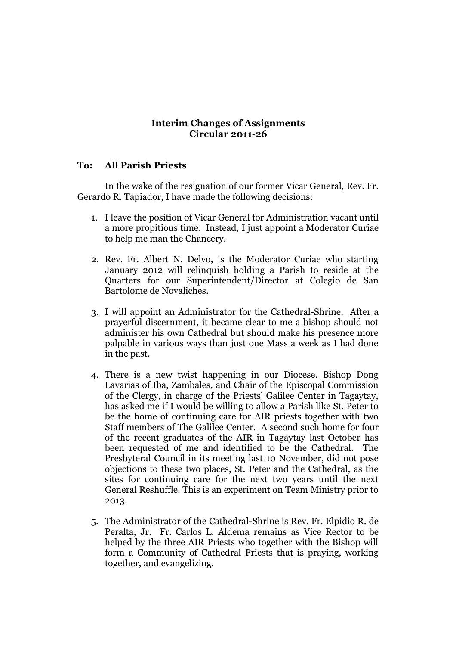## **Interim Changes of Assignments Circular 2011-26**

## **To: All Parish Priests**

In the wake of the resignation of our former Vicar General, Rev. Fr. Gerardo R. Tapiador, I have made the following decisions:

- 1. I leave the position of Vicar General for Administration vacant until a more propitious time. Instead, I just appoint a Moderator Curiae to help me man the Chancery.
- 2. Rev. Fr. Albert N. Delvo, is the Moderator Curiae who starting January 2012 will relinquish holding a Parish to reside at the Quarters for our Superintendent/Director at Colegio de San Bartolome de Novaliches.
- 3. I will appoint an Administrator for the Cathedral-Shrine. After a prayerful discernment, it became clear to me a bishop should not administer his own Cathedral but should make his presence more palpable in various ways than just one Mass a week as I had done in the past.
- 4. There is a new twist happening in our Diocese. Bishop Dong Lavarias of Iba, Zambales, and Chair of the Episcopal Commission of the Clergy, in charge of the Priests' Galilee Center in Tagaytay, has asked me if I would be willing to allow a Parish like St. Peter to be the home of continuing care for AIR priests together with two Staff members of The Galilee Center. A second such home for four of the recent graduates of the AIR in Tagaytay last October has been requested of me and identified to be the Cathedral. The Presbyteral Council in its meeting last 10 November, did not pose objections to these two places, St. Peter and the Cathedral, as the sites for continuing care for the next two years until the next General Reshuffle. This is an experiment on Team Ministry prior to 2013.
- 5. The Administrator of the Cathedral-Shrine is Rev. Fr. Elpidio R. de Peralta, Jr. Fr. Carlos L. Aldema remains as Vice Rector to be helped by the three AIR Priests who together with the Bishop will form a Community of Cathedral Priests that is praying, working together, and evangelizing.